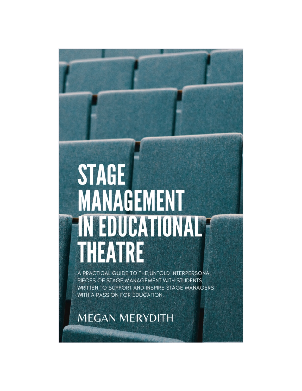# **STAGE MANAGEMENT IN EDUCATIONAL?** THEATRE

A PRACTICAL GUIDE TO THE UNTOLD INTERPERSONAL PIECES OF STAGE MANAGEMENT WITH STUDENTS. WRITTEN TO SUPPORT AND INSPIRE STAGE MANAGERS WITH A PASSION FOR EDUCATION.

**MEGAN MERYDITH**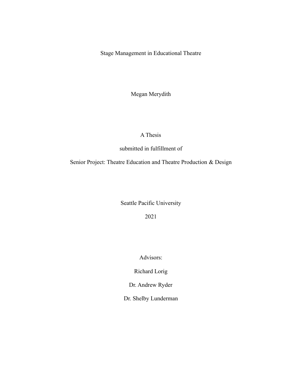Stage Management in Educational Theatre

Megan Merydith

### A Thesis

submitted in fulfillment of

Senior Project: Theatre Education and Theatre Production & Design

Seattle Pacific University

2021

Advisors:

Richard Lorig

Dr. Andrew Ryder

Dr. Shelby Lunderman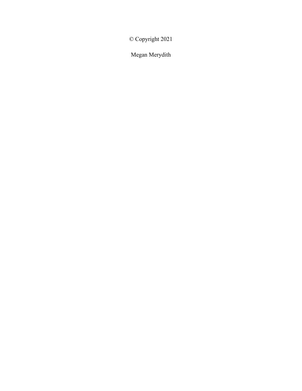© Copyright 2021

Megan Merydith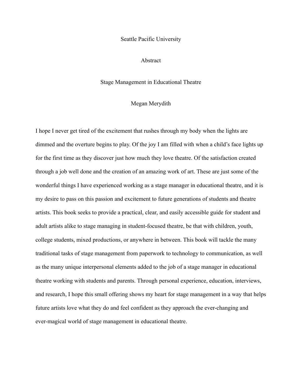#### Seattle Pacific University

#### Abstract

#### Stage Management in Educational Theatre

#### Megan Merydith

I hope I never get tired of the excitement that rushes through my body when the lights are dimmed and the overture begins to play. Of the joy I am filled with when a child's face lights up for the first time as they discover just how much they love theatre. Of the satisfaction created through a job well done and the creation of an amazing work of art. These are just some of the wonderful things I have experienced working as a stage manager in educational theatre, and it is my desire to pass on this passion and excitement to future generations of students and theatre artists. This book seeks to provide a practical, clear, and easily accessible guide for student and adult artists alike to stage managing in student-focused theatre, be that with children, youth, college students, mixed productions, or anywhere in between. This book will tackle the many traditional tasks of stage management from paperwork to technology to communication, as well as the many unique interpersonal elements added to the job of a stage manager in educational theatre working with students and parents. Through personal experience, education, interviews, and research, I hope this small offering shows my heart for stage management in a way that helps future artists love what they do and feel confident as they approach the ever-changing and ever-magical world of stage management in educational theatre.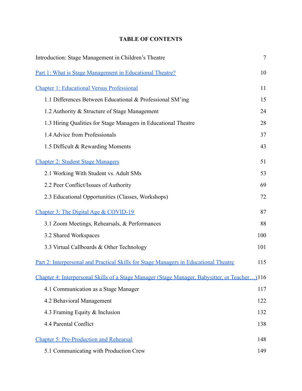## **TABLE OF CONTENTS**

| Introduction: Stage Management in Children's Theatre                                          | $\overline{7}$ |
|-----------------------------------------------------------------------------------------------|----------------|
| <u>Part 1: What is Stage Management in Educational Theatre?</u>                               | 10             |
| <b>Chapter 1: Educational Versus Professional</b>                                             | 11             |
| 1.1 Differences Between Educational & Professional SM'ing                                     | 15             |
| 1.2 Authority & Structure of Stage Management                                                 | 24             |
| 1.3 Hiring Qualities for Stage Managers in Educational Theatre                                | 28             |
| 1.4 Advice from Professionals                                                                 | 37             |
| 1.5 Difficult & Rewarding Moments                                                             | 43             |
| <b>Chapter 2: Student Stage Managers</b>                                                      | 51             |
| 2.1 Working With Student vs. Adult SMs                                                        | 53             |
| 2.2 Peer Conflict/Issues of Authority                                                         | 69             |
| 2.3 Educational Opportunities (Classes, Workshops)                                            | 72             |
| Chapter 3: The Digital Age & COVID-19                                                         | 87             |
| 3.1 Zoom Meetings, Rehearsals, & Performances                                                 | 88             |
| 3.2 Shared Workspaces                                                                         | 100            |
| 3.3 Virtual Callboards & Other Technology                                                     | 101            |
| <u>Part 2: Interpersonal and Practical Skills for Stage Managers in Educational Theatre</u>   | 115            |
| Chapter 4: Interpersonal Skills of a Stage Manager (Stage Manager, Babysitter, or Teacher)116 |                |
| 4.1 Communication as a Stage Manager                                                          | 117            |
| 4.2 Behavioral Management                                                                     | 122            |
| 4.3 Framing Equity & Inclusion                                                                | 132            |
| 4.4 Parental Conflict                                                                         | 138            |
| <b>Chapter 5: Pre-Production and Rehearsal</b>                                                | 148            |
| 5.1 Communicating with Production Crew                                                        | 149            |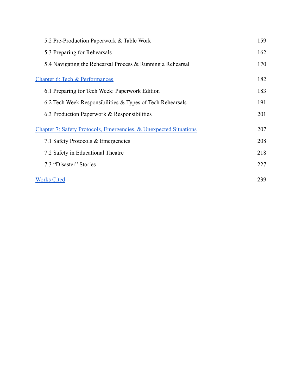| 5.2 Pre-Production Paperwork & Table Work                                    | 159 |
|------------------------------------------------------------------------------|-----|
| 5.3 Preparing for Rehearsals                                                 | 162 |
| 5.4 Navigating the Rehearsal Process & Running a Rehearsal                   | 170 |
| <b>Chapter 6: Tech &amp; Performances</b>                                    | 182 |
| 6.1 Preparing for Tech Week: Paperwork Edition                               | 183 |
| 6.2 Tech Week Responsibilities & Types of Tech Rehearsals                    | 191 |
| 6.3 Production Paperwork & Responsibilities                                  | 201 |
| <b>Chapter 7: Safety Protocols, Emergencies, &amp; Unexpected Situations</b> | 207 |
| 7.1 Safety Protocols & Emergencies                                           | 208 |
| 7.2 Safety in Educational Theatre                                            | 218 |
| 7.3 "Disaster" Stories                                                       | 227 |
| <b>Works Cited</b>                                                           | 239 |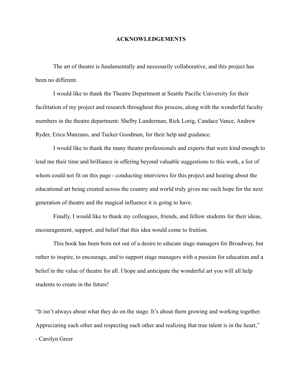#### **ACKNOWLEDGEMENTS**

The art of theatre is fundamentally and necessarily collaborative, and this project has been no different.

I would like to thank the Theatre Department at Seattle Pacific University for their facilitation of my project and research throughout this process, along with the wonderful faculty members in the theatre department: Shelby Lunderman, Rick Lorig, Candace Vance, Andrew Ryder, Erica Manzano, and Tucker Goodman, for their help and guidance.

I would like to thank the many theatre professionals and experts that were kind enough to lend me their time and brilliance in offering beyond valuable suggestions to this work, a list of whom could not fit on this page - conducting interviews for this project and hearing about the educational art being created across the country and world truly gives me such hope for the next generation of theatre and the magical influence it is going to have.

Finally, I would like to thank my colleagues, friends, and fellow students for their ideas, encouragement, support, and belief that this idea would come to fruition.

This book has been born not out of a desire to educate stage managers for Broadway, but rather to inspire, to encourage, and to support stage managers with a passion for education and a belief in the value of theatre for all. I hope and anticipate the wonderful art you will all help students to create in the future!

"It isn't always about what they do on the stage. It's about them growing and working together. Appreciating each other and respecting each other and realizing that true talent is in the heart," - Carolyn Greer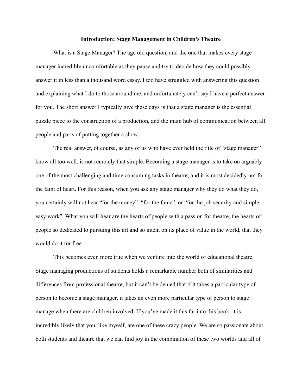#### **Introduction: Stage Management in Children's Theatre**

<span id="page-7-0"></span>What is a Stage Manager? The age old question, and the one that makes every stage manager incredibly uncomfortable as they pause and try to decide how they could possibly answer it in less than a thousand word essay. I too have struggled with answering this question and explaining what I do to those around me, and unfortunately can't say I have a perfect answer for you. The short answer I typically give these days is that a stage manager is the essential puzzle piece to the construction of a production, and the main hub of communication between all people and parts of putting together a show.

The real answer, of course, as any of us who have ever held the title of "stage manager" know all too well, is not remotely that simple. Becoming a stage manager is to take on arguably one of the most challenging and time consuming tasks in theatre, and it is most decidedly not for the faint of heart. For this reason, when you ask any stage manager why they do what they do, you certainly will not hear "for the money", "for the fame", or "for the job security and simple, easy work". What you will hear are the hearts of people with a passion for theatre, the hearts of people so dedicated to pursuing this art and so intent on its place of value in the world, that they would do it for free.

This becomes even more true when we venture into the world of educational theatre. Stage managing productions of students holds a remarkable number both of similarities and differences from professional theatre, but it can't be denied that if it takes a particular type of person to become a stage manager, it takes an even more particular type of person to stage manage when there are children involved. If you've made it this far into this book, it is incredibly likely that you, like myself, are one of these crazy people. We are so passionate about both students and theatre that we can find joy in the combination of these two worlds and all of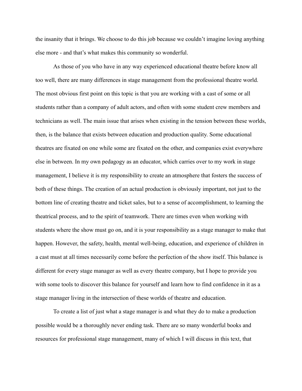the insanity that it brings. We choose to do this job because we couldn't imagine loving anything else more - and that's what makes this community so wonderful.

As those of you who have in any way experienced educational theatre before know all too well, there are many differences in stage management from the professional theatre world. The most obvious first point on this topic is that you are working with a cast of some or all students rather than a company of adult actors, and often with some student crew members and technicians as well. The main issue that arises when existing in the tension between these worlds, then, is the balance that exists between education and production quality. Some educational theatres are fixated on one while some are fixated on the other, and companies exist everywhere else in between. In my own pedagogy as an educator, which carries over to my work in stage management, I believe it is my responsibility to create an atmosphere that fosters the success of both of these things. The creation of an actual production is obviously important, not just to the bottom line of creating theatre and ticket sales, but to a sense of accomplishment, to learning the theatrical process, and to the spirit of teamwork. There are times even when working with students where the show must go on, and it is your responsibility as a stage manager to make that happen. However, the safety, health, mental well-being, education, and experience of children in a cast must at all times necessarily come before the perfection of the show itself. This balance is different for every stage manager as well as every theatre company, but I hope to provide you with some tools to discover this balance for yourself and learn how to find confidence in it as a stage manager living in the intersection of these worlds of theatre and education.

To create a list of just what a stage manager is and what they do to make a production possible would be a thoroughly never ending task. There are so many wonderful books and resources for professional stage management, many of which I will discuss in this text, that